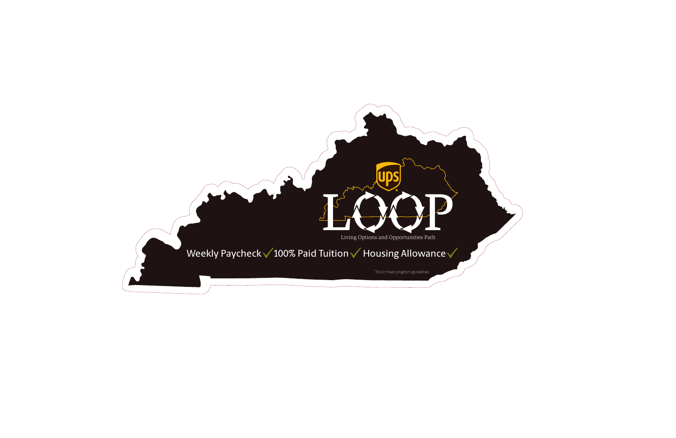